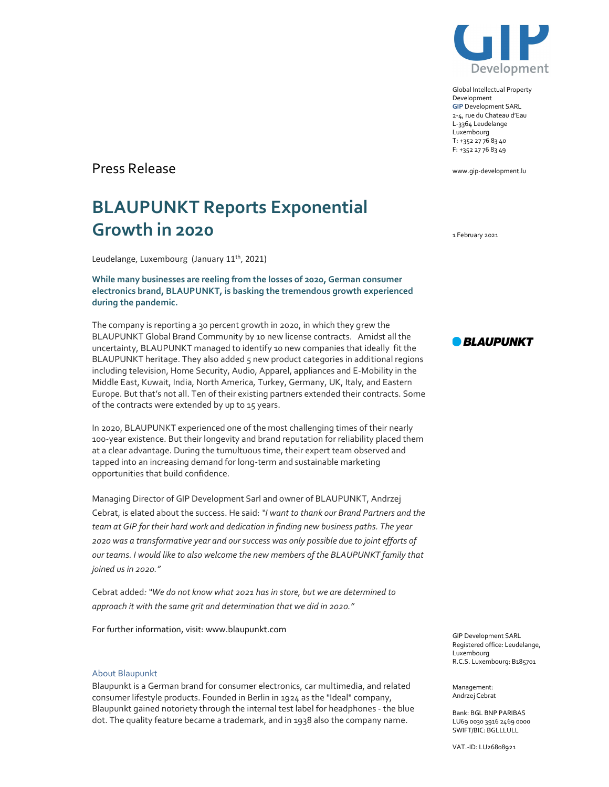

Global Intellectual Property Development GIP Development SARL 2-4, rue du Chateau d'Eau L-3364 Leudelange Luxembourg T: +352 27 76 83 40 F: +352 27 76 83 49

www.gip-development.lu

Press Release

## BLAUPUNKT Reports Exponential Growth in 2020

Leudelange, Luxembourg (January 11<sup>th</sup>, 2021)

While many businesses are reeling from the losses of 2020, German consumer electronics brand, BLAUPUNKT, is basking the tremendous growth experienced during the pandemic.

The company is reporting a 30 percent growth in 2020, in which they grew the BLAUPUNKT Global Brand Community by 10 new license contracts. Amidst all the uncertainty, BLAUPUNKT managed to identify 10 new companies that ideally fit the BLAUPUNKT heritage. They also added 5 new product categories in additional regions including television, Home Security, Audio, Apparel, appliances and E-Mobility in the Middle East, Kuwait, India, North America, Turkey, Germany, UK, Italy, and Eastern Europe. But that's not all. Ten of their existing partners extended their contracts. Some of the contracts were extended by up to 15 years.

In 2020, BLAUPUNKT experienced one of the most challenging times of their nearly 100-year existence. But their longevity and brand reputation for reliability placed them at a clear advantage. During the tumultuous time, their expert team observed and tapped into an increasing demand for long-term and sustainable marketing opportunities that build confidence.

Managing Director of GIP Development Sarl and owner of BLAUPUNKT, Andrzej Cebrat, is elated about the success. He said: "I want to thank our Brand Partners and the team at GIP for their hard work and dedication in finding new business paths. The year 2020 was a transformative year and our success was only possible due to joint efforts of our teams. I would like to also welcome the new members of the BLAUPUNKT family that joined us in 2020."

Cebrat added: "We do not know what 2021 has in store, but we are determined to approach it with the same grit and determination that we did in 2020."

For further information, visit: www.blaupunkt.com

## About Blaupunkt

Blaupunkt is a German brand for consumer electronics, car multimedia, and related consumer lifestyle products. Founded in Berlin in 1924 as the "Ideal" company, Blaupunkt gained notoriety through the internal test label for headphones - the blue dot. The quality feature became a trademark, and in 1938 also the company name.

1 February 2021



GIP Development SARL Registered office: Leudelange, Luxembourg R.C.S. Luxembourg: B185701

Management: Andrzej Cebrat

Bank: BGL BNP PARIBAS LU69 0030 3916 2469 0000 SWIFT/BIC: BGLLLULL

VAT.-ID: LU26808921